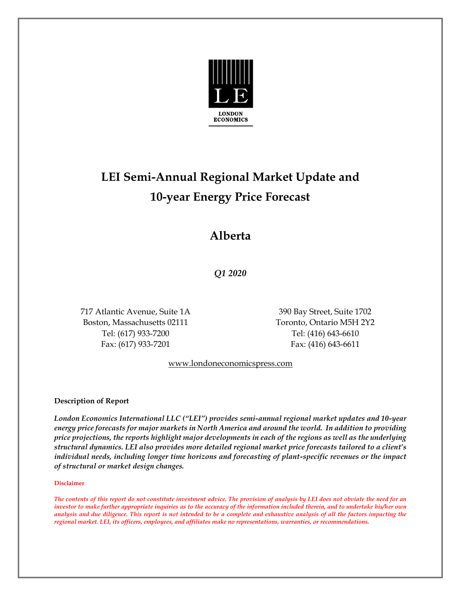

# **LEI Semi-Annual Regional Market Update and 10-year Energy Price Forecast**

### **Alberta**

*Q1 2020*

717 Atlantic Avenue, Suite 1A 390 Bay Street, Suite 1702 Boston, Massachusetts 02111 Toronto, Ontario M5H 2Y2 Tel: (617) 933-7200 Tel: (416) 643-6610 Fax: (617) 933-7201 Fax: (416) 643-6611

### www.londoneconomicspress.com

#### **Description of Report**

*London Economics International LLC ("LEI") provides semi-annual regional market updates and 10-year energy price forecasts for major markets in North America and around the world. In addition to providing price projections, the reports highlight major developments in each of the regions as well as the underlying structural dynamics. LEI also provides more detailed regional market price forecasts tailored to a client's individual needs, including longer time horizons and forecasting of plant-specific revenues or the impact of structural or market design changes.*

#### **Disclaimer**

*The contents of this report do not constitute investment advice. The provision of analysis by LEI does not obviate the need for an investor to make further appropriate inquiries as to the accuracy of the information included therein, and to undertake his/her own analysis and due diligence. This report is not intended to be a complete and exhaustive analysis of all the factors impacting the regional market. LEI, its officers, employees, and affiliates make no representations, warranties, or recommendations.*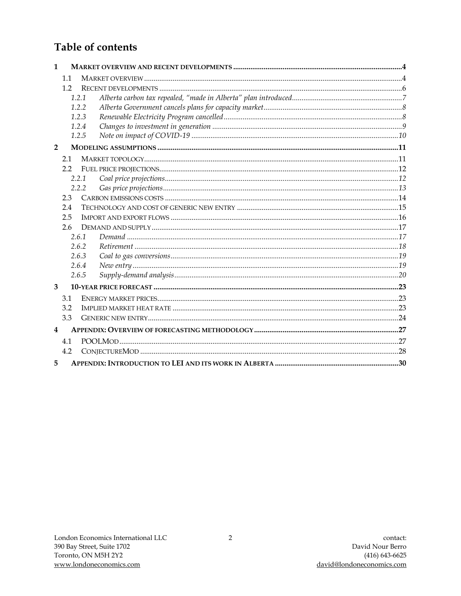### Table of contents

| $\mathbf{1}$   |                |       |  |  |  |
|----------------|----------------|-------|--|--|--|
|                | 1.1            |       |  |  |  |
|                | 1.2            |       |  |  |  |
|                |                | 1.2.1 |  |  |  |
|                |                | 1.2.2 |  |  |  |
|                |                | 1.2.3 |  |  |  |
|                |                | 1.2.4 |  |  |  |
|                |                | 1.2.5 |  |  |  |
| $\overline{2}$ |                |       |  |  |  |
|                | 2.1            |       |  |  |  |
|                | 2.2            |       |  |  |  |
|                |                | 2.2.1 |  |  |  |
|                |                | 2.2.2 |  |  |  |
| 2.3            |                |       |  |  |  |
|                | 2.4            |       |  |  |  |
|                | 2.5            |       |  |  |  |
|                | 2.6            |       |  |  |  |
|                |                | 2.6.1 |  |  |  |
|                | 2.6.2<br>2.6.3 |       |  |  |  |
|                |                |       |  |  |  |
|                |                | 2.6.4 |  |  |  |
|                |                | 2.6.5 |  |  |  |
| $\overline{3}$ |                |       |  |  |  |
|                | 3.1            |       |  |  |  |
|                | 3.2            |       |  |  |  |
|                | 3.3            |       |  |  |  |
| 4              |                |       |  |  |  |
|                | 4.1            |       |  |  |  |
|                | 4.2            |       |  |  |  |
| 5              |                |       |  |  |  |